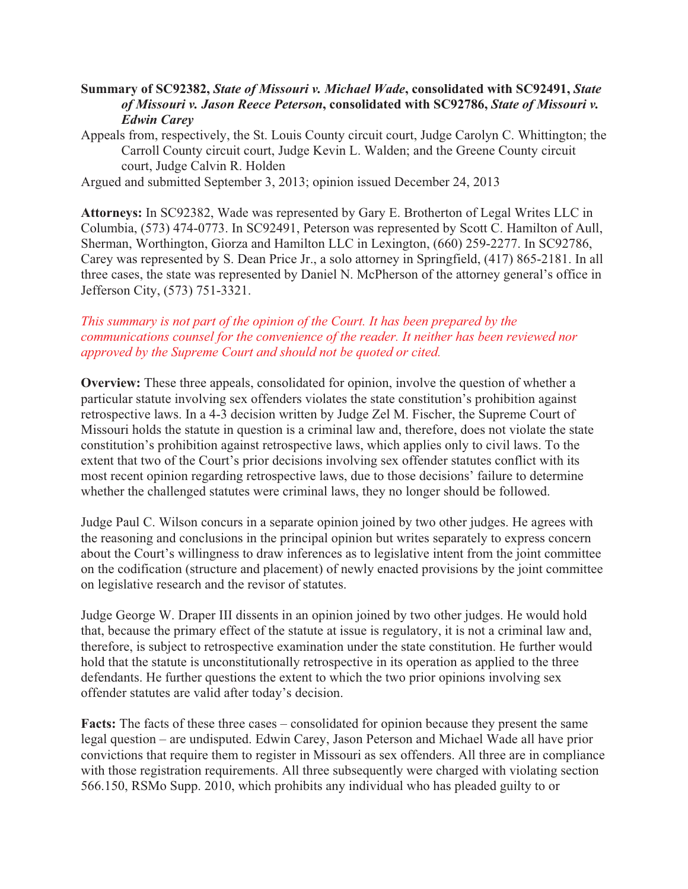## **Summary of SC92382,** *State of Missouri v. Michael Wade***, consolidated with SC92491,** *State of Missouri v. Jason Reece Peterson***, consolidated with SC92786,** *State of Missouri v. Edwin Carey*

Appeals from, respectively, the St. Louis County circuit court, Judge Carolyn C. Whittington; the Carroll County circuit court, Judge Kevin L. Walden; and the Greene County circuit court, Judge Calvin R. Holden

Argued and submitted September 3, 2013; opinion issued December 24, 2013

**Attorneys:** In SC92382, Wade was represented by Gary E. Brotherton of Legal Writes LLC in Columbia, (573) 474-0773. In SC92491, Peterson was represented by Scott C. Hamilton of Aull, Sherman, Worthington, Giorza and Hamilton LLC in Lexington, (660) 259-2277. In SC92786, Carey was represented by S. Dean Price Jr., a solo attorney in Springfield, (417) 865-2181. In all three cases, the state was represented by Daniel N. McPherson of the attorney general's office in Jefferson City, (573) 751-3321.

## *This summary is not part of the opinion of the Court. It has been prepared by the communications counsel for the convenience of the reader. It neither has been reviewed nor approved by the Supreme Court and should not be quoted or cited.*

**Overview:** These three appeals, consolidated for opinion, involve the question of whether a particular statute involving sex offenders violates the state constitution's prohibition against retrospective laws. In a 4-3 decision written by Judge Zel M. Fischer, the Supreme Court of Missouri holds the statute in question is a criminal law and, therefore, does not violate the state constitution's prohibition against retrospective laws, which applies only to civil laws. To the extent that two of the Court's prior decisions involving sex offender statutes conflict with its most recent opinion regarding retrospective laws, due to those decisions' failure to determine whether the challenged statutes were criminal laws, they no longer should be followed.

Judge Paul C. Wilson concurs in a separate opinion joined by two other judges. He agrees with the reasoning and conclusions in the principal opinion but writes separately to express concern about the Court's willingness to draw inferences as to legislative intent from the joint committee on the codification (structure and placement) of newly enacted provisions by the joint committee on legislative research and the revisor of statutes.

Judge George W. Draper III dissents in an opinion joined by two other judges. He would hold that, because the primary effect of the statute at issue is regulatory, it is not a criminal law and, therefore, is subject to retrospective examination under the state constitution. He further would hold that the statute is unconstitutionally retrospective in its operation as applied to the three defendants. He further questions the extent to which the two prior opinions involving sex offender statutes are valid after today's decision.

**Facts:** The facts of these three cases – consolidated for opinion because they present the same legal question – are undisputed. Edwin Carey, Jason Peterson and Michael Wade all have prior convictions that require them to register in Missouri as sex offenders. All three are in compliance with those registration requirements. All three subsequently were charged with violating section 566.150, RSMo Supp. 2010, which prohibits any individual who has pleaded guilty to or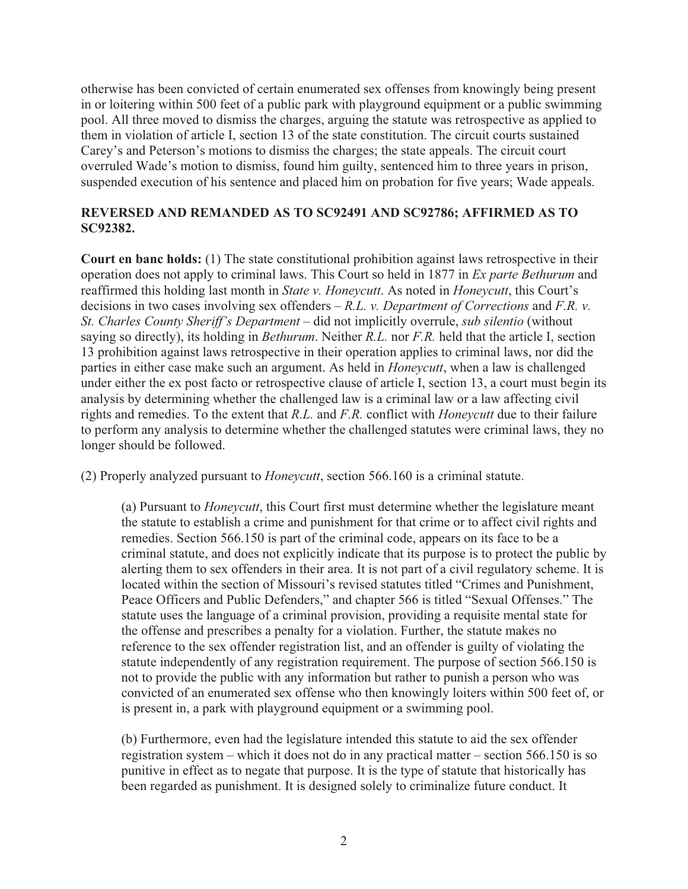otherwise has been convicted of certain enumerated sex offenses from knowingly being present in or loitering within 500 feet of a public park with playground equipment or a public swimming pool. All three moved to dismiss the charges, arguing the statute was retrospective as applied to them in violation of article I, section 13 of the state constitution. The circuit courts sustained Carey's and Peterson's motions to dismiss the charges; the state appeals. The circuit court overruled Wade's motion to dismiss, found him guilty, sentenced him to three years in prison, suspended execution of his sentence and placed him on probation for five years; Wade appeals.

## **REVERSED AND REMANDED AS TO SC92491 AND SC92786; AFFIRMED AS TO SC92382.**

**Court en banc holds:** (1) The state constitutional prohibition against laws retrospective in their operation does not apply to criminal laws. This Court so held in 1877 in *Ex parte Bethurum* and reaffirmed this holding last month in *State v. Honeycutt*. As noted in *Honeycutt*, this Court's decisions in two cases involving sex offenders – *R.L. v. Department of Corrections* and *F.R. v. St. Charles County Sheriff's Department* – did not implicitly overrule, *sub silentio* (without saying so directly), its holding in *Bethurum*. Neither *R.L.* nor *F.R.* held that the article I, section 13 prohibition against laws retrospective in their operation applies to criminal laws, nor did the parties in either case make such an argument. As held in *Honeycutt*, when a law is challenged under either the ex post facto or retrospective clause of article I, section 13, a court must begin its analysis by determining whether the challenged law is a criminal law or a law affecting civil rights and remedies. To the extent that *R.L.* and *F.R.* conflict with *Honeycutt* due to their failure to perform any analysis to determine whether the challenged statutes were criminal laws, they no longer should be followed.

(2) Properly analyzed pursuant to *Honeycutt*, section 566.160 is a criminal statute.

(a) Pursuant to *Honeycutt*, this Court first must determine whether the legislature meant the statute to establish a crime and punishment for that crime or to affect civil rights and remedies. Section 566.150 is part of the criminal code, appears on its face to be a criminal statute, and does not explicitly indicate that its purpose is to protect the public by alerting them to sex offenders in their area. It is not part of a civil regulatory scheme. It is located within the section of Missouri's revised statutes titled "Crimes and Punishment, Peace Officers and Public Defenders," and chapter 566 is titled "Sexual Offenses." The statute uses the language of a criminal provision, providing a requisite mental state for the offense and prescribes a penalty for a violation. Further, the statute makes no reference to the sex offender registration list, and an offender is guilty of violating the statute independently of any registration requirement. The purpose of section 566.150 is not to provide the public with any information but rather to punish a person who was convicted of an enumerated sex offense who then knowingly loiters within 500 feet of, or is present in, a park with playground equipment or a swimming pool.

(b) Furthermore, even had the legislature intended this statute to aid the sex offender registration system – which it does not do in any practical matter – section 566.150 is so punitive in effect as to negate that purpose. It is the type of statute that historically has been regarded as punishment. It is designed solely to criminalize future conduct. It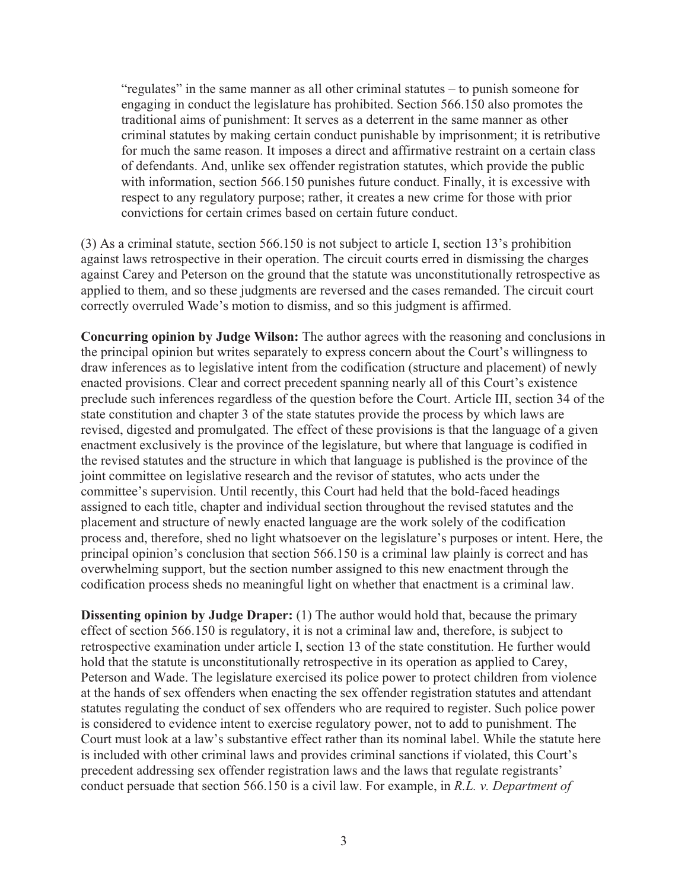"regulates" in the same manner as all other criminal statutes – to punish someone for engaging in conduct the legislature has prohibited. Section 566.150 also promotes the traditional aims of punishment: It serves as a deterrent in the same manner as other criminal statutes by making certain conduct punishable by imprisonment; it is retributive for much the same reason. It imposes a direct and affirmative restraint on a certain class of defendants. And, unlike sex offender registration statutes, which provide the public with information, section 566.150 punishes future conduct. Finally, it is excessive with respect to any regulatory purpose; rather, it creates a new crime for those with prior convictions for certain crimes based on certain future conduct.

(3) As a criminal statute, section 566.150 is not subject to article I, section 13's prohibition against laws retrospective in their operation. The circuit courts erred in dismissing the charges against Carey and Peterson on the ground that the statute was unconstitutionally retrospective as applied to them, and so these judgments are reversed and the cases remanded. The circuit court correctly overruled Wade's motion to dismiss, and so this judgment is affirmed.

**Concurring opinion by Judge Wilson:** The author agrees with the reasoning and conclusions in the principal opinion but writes separately to express concern about the Court's willingness to draw inferences as to legislative intent from the codification (structure and placement) of newly enacted provisions. Clear and correct precedent spanning nearly all of this Court's existence preclude such inferences regardless of the question before the Court. Article III, section 34 of the state constitution and chapter 3 of the state statutes provide the process by which laws are revised, digested and promulgated. The effect of these provisions is that the language of a given enactment exclusively is the province of the legislature, but where that language is codified in the revised statutes and the structure in which that language is published is the province of the joint committee on legislative research and the revisor of statutes, who acts under the committee's supervision. Until recently, this Court had held that the bold-faced headings assigned to each title, chapter and individual section throughout the revised statutes and the placement and structure of newly enacted language are the work solely of the codification process and, therefore, shed no light whatsoever on the legislature's purposes or intent. Here, the principal opinion's conclusion that section 566.150 is a criminal law plainly is correct and has overwhelming support, but the section number assigned to this new enactment through the codification process sheds no meaningful light on whether that enactment is a criminal law.

**Dissenting opinion by Judge Draper:** (1) The author would hold that, because the primary effect of section 566.150 is regulatory, it is not a criminal law and, therefore, is subject to retrospective examination under article I, section 13 of the state constitution. He further would hold that the statute is unconstitutionally retrospective in its operation as applied to Carey, Peterson and Wade. The legislature exercised its police power to protect children from violence at the hands of sex offenders when enacting the sex offender registration statutes and attendant statutes regulating the conduct of sex offenders who are required to register. Such police power is considered to evidence intent to exercise regulatory power, not to add to punishment. The Court must look at a law's substantive effect rather than its nominal label. While the statute here is included with other criminal laws and provides criminal sanctions if violated, this Court's precedent addressing sex offender registration laws and the laws that regulate registrants' conduct persuade that section 566.150 is a civil law. For example, in *R.L. v. Department of*